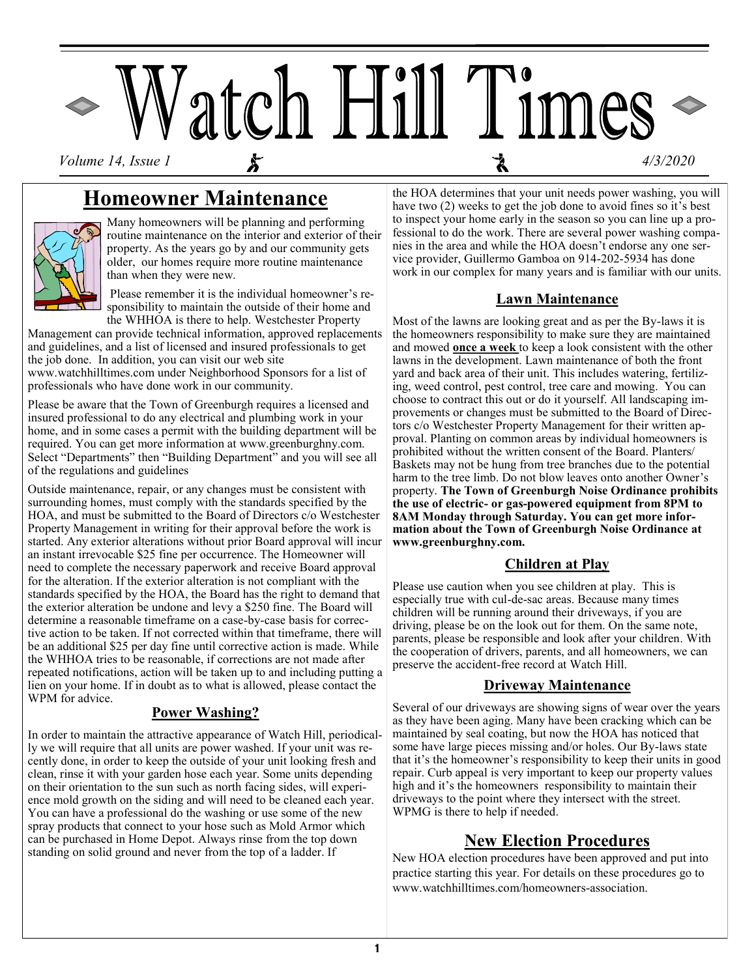

## **Homeowner Maintenance**



Many homeowners will be planning and performing routine maintenance on the interior and exterior of their property. As the years go by and our community gets older, our homes require more routine maintenance than when they were new.

Please remember it is the individual homeowner's responsibility to maintain the outside of their home and the WHHOA is there to help. Westchester Property

Management can provide technical information, approved replacements and guidelines, and a list of licensed and insured professionals to get the job done. In addition, you can visit our web site www.watchhilltimes.com under Neighborhood Sponsors for a list of professionals who have done work in our community.

Please be aware that the Town of Greenburgh requires a licensed and insured professional to do any electrical and plumbing work in your home, and in some cases a permit with the building department will be required. You can get more information at www.greenburghny.com. Select "Departments" then "Building Department" and you will see all of the regulations and guidelines

Outside maintenance, repair, or any changes must be consistent with surrounding homes, must comply with the standards specified by the HOA, and must be submitted to the Board of Directors c/o Westchester Property Management in writing for their approval before the work is started. Any exterior alterations without prior Board approval will incur an instant irrevocable \$25 fine per occurrence. The Homeowner will need to complete the necessary paperwork and receive Board approval for the alteration. If the exterior alteration is not compliant with the standards specified by the HOA, the Board has the right to demand that the exterior alteration be undone and levy a \$250 fine. The Board will determine a reasonable timeframe on a case-by-case basis for corrective action to be taken. If not corrected within that timeframe, there will be an additional \$25 per day fine until corrective action is made. While the WHHOA tries to be reasonable, if corrections are not made after repeated notifications, action will be taken up to and including putting a lien on your home. If in doubt as to what is allowed, please contact the WPM for advice.

### **Power Washing?**

In order to maintain the attractive appearance of Watch Hill, periodically we will require that all units are power washed. If your unit was recently done, in order to keep the outside of your unit looking fresh and clean, rinse it with your garden hose each year. Some units depending on their orientation to the sun such as north facing sides, will experience mold growth on the siding and will need to be cleaned each year. You can have a professional do the washing or use some of the new spray products that connect to your hose such as Mold Armor which can be purchased in Home Depot. Always rinse from the top down standing on solid ground and never from the top of a ladder. If

the HOA determines that your unit needs power washing, you will have two (2) weeks to get the job done to avoid fines so it's best to inspect your home early in the season so you can line up a professional to do the work. There are several power washing companies in the area and while the HOA doesn't endorse any one service provider, Guillermo Gamboa on 914-202-5934 has done work in our complex for many years and is familiar with our units.

### **Lawn Maintenance**

Most of the lawns are looking great and as per the By-laws it is the homeowners responsibility to make sure they are maintained and mowed **once a week** to keep a look consistent with the other lawns in the development. Lawn maintenance of both the front yard and back area of their unit. This includes watering, fertilizing, weed control, pest control, tree care and mowing. You can choose to contract this out or do it yourself. All landscaping improvements or changes must be submitted to the Board of Directors c/o Westchester Property Management for their written approval. Planting on common areas by individual homeowners is prohibited without the written consent of the Board. Planters/ Baskets may not be hung from tree branches due to the potential harm to the tree limb. Do not blow leaves onto another Owner's property. **The Town of Greenburgh Noise Ordinance prohibits the use of electric- or gas-powered equipment from 8PM to 8AM Monday through Saturday. You can get more information about the Town of Greenburgh Noise Ordinance at www.greenburghny.com.** 

### **Children at Play**

Please use caution when you see children at play. This is especially true with cul-de-sac areas. Because many times children will be running around their driveways, if you are driving, please be on the look out for them. On the same note, parents, please be responsible and look after your children. With the cooperation of drivers, parents, and all homeowners, we can preserve the accident-free record at Watch Hill.

### **Driveway Maintenance**

Several of our driveways are showing signs of wear over the years as they have been aging. Many have been cracking which can be maintained by seal coating, but now the HOA has noticed that some have large pieces missing and/or holes. Our By-laws state that it's the homeowner's responsibility to keep their units in good repair. Curb appeal is very important to keep our property values high and it's the homeowners responsibility to maintain their driveways to the point where they intersect with the street. WPMG is there to help if needed.

## **New Election Procedures**

New HOA election procedures have been approved and put into practice starting this year. For details on these procedures go to www.watchhilltimes.com/homeowners-association.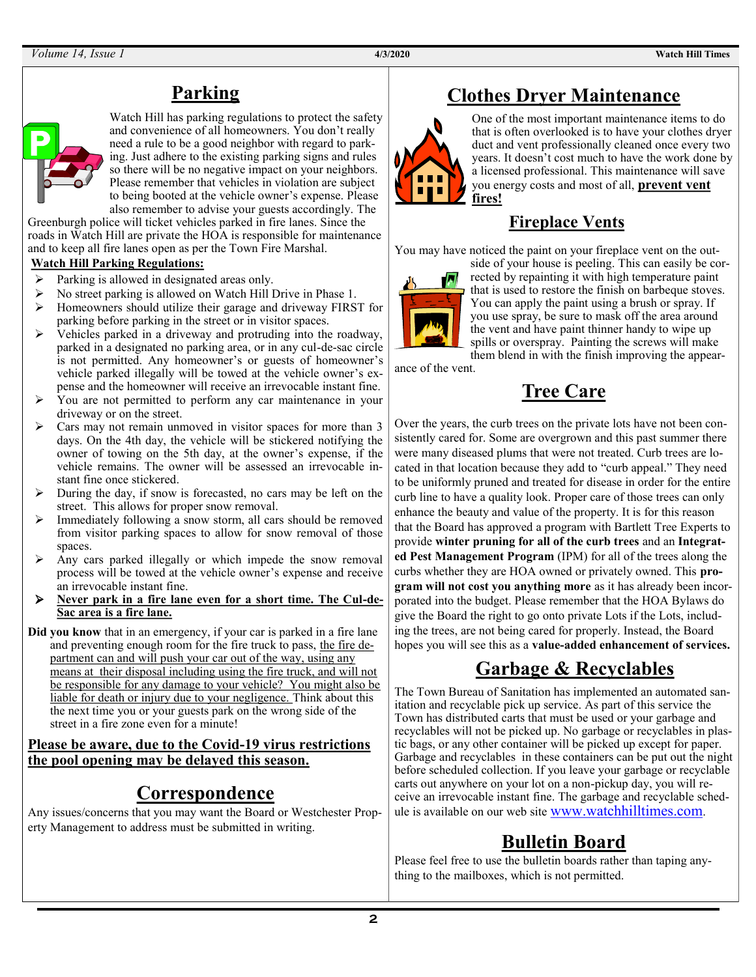# **Parking**



Watch Hill has parking regulations to protect the safety and convenience of all homeowners. You don't really need a rule to be a good neighbor with regard to parking. Just adhere to the existing parking signs and rules so there will be no negative impact on your neighbors. Please remember that vehicles in violation are subject to being booted at the vehicle owner's expense. Please also remember to advise your guests accordingly. The

Greenburgh police will ticket vehicles parked in fire lanes. Since the roads in Watch Hill are private the HOA is responsible for maintenance and to keep all fire lanes open as per the Town Fire Marshal.

#### **Watch Hill Parking Regulations:**

- $\triangleright$  Parking is allowed in designated areas only.
- ➢ No street parking is allowed on Watch Hill Drive in Phase 1.
- ➢ Homeowners should utilize their garage and driveway FIRST for parking before parking in the street or in visitor spaces.
- ➢ Vehicles parked in a driveway and protruding into the roadway, parked in a designated no parking area, or in any cul-de-sac circle is not permitted. Any homeowner's or guests of homeowner's vehicle parked illegally will be towed at the vehicle owner's expense and the homeowner will receive an irrevocable instant fine.
- ➢ You are not permitted to perform any car maintenance in your driveway or on the street.
- ➢ Cars may not remain unmoved in visitor spaces for more than 3 days. On the 4th day, the vehicle will be stickered notifying the owner of towing on the 5th day, at the owner's expense, if the vehicle remains. The owner will be assessed an irrevocable instant fine once stickered.
- ➢ During the day, if snow is forecasted, no cars may be left on the street. This allows for proper snow removal.
- ➢ Immediately following a snow storm, all cars should be removed from visitor parking spaces to allow for snow removal of those spaces.
- ➢ Any cars parked illegally or which impede the snow removal process will be towed at the vehicle owner's expense and receive an irrevocable instant fine.
- ➢ **Never park in a fire lane even for a short time. The Cul-de-Sac area is a fire lane.**
- **Did you know** that in an emergency, if your car is parked in a fire lane and preventing enough room for the fire truck to pass, the fire department can and will push your car out of the way, using any means at their disposal including using the fire truck, and will not be responsible for any damage to your vehicle? You might also be liable for death or injury due to your negligence. Think about this the next time you or your guests park on the wrong side of the street in a fire zone even for a minute!

### **Please be aware, due to the Covid-19 virus restrictions the pool opening may be delayed this season.**

# **Correspondence**

Any issues/concerns that you may want the Board or Westchester Property Management to address must be submitted in writing.

# **Clothes Dryer Maintenance**



One of the most important maintenance items to do that is often overlooked is to have your clothes dryer duct and vent professionally cleaned once every two years. It doesn't cost much to have the work done by a licensed professional. This maintenance will save you energy costs and most of all, **prevent vent fires!**

## **Fireplace Vents**

You may have noticed the paint on your fireplace vent on the out-



side of your house is peeling. This can easily be corrected by repainting it with high temperature paint that is used to restore the finish on barbeque stoves. You can apply the paint using a brush or spray. If you use spray, be sure to mask off the area around the vent and have paint thinner handy to wipe up spills or overspray. Painting the screws will make them blend in with the finish improving the appear-

ance of the vent.

# **Tree Care**

Over the years, the curb trees on the private lots have not been consistently cared for. Some are overgrown and this past summer there were many diseased plums that were not treated. Curb trees are located in that location because they add to "curb appeal." They need to be uniformly pruned and treated for disease in order for the entire curb line to have a quality look. Proper care of those trees can only enhance the beauty and value of the property. It is for this reason that the Board has approved a program with Bartlett Tree Experts to provide **winter pruning for all of the curb trees** and an **Integrated Pest Management Program** (IPM) for all of the trees along the curbs whether they are HOA owned or privately owned. This **program will not cost you anything more** as it has already been incorporated into the budget. Please remember that the HOA Bylaws do give the Board the right to go onto private Lots if the Lots, including the trees, are not being cared for properly. Instead, the Board hopes you will see this as a **value-added enhancement of services.**

# **Garbage & Recyclables**

The Town Bureau of Sanitation has implemented an automated sanitation and recyclable pick up service. As part of this service the Town has distributed carts that must be used or your garbage and recyclables will not be picked up. No garbage or recyclables in plastic bags, or any other container will be picked up except for paper. Garbage and recyclables in these containers can be put out the night before scheduled collection. If you leave your garbage or recyclable carts out anywhere on your lot on a non-pickup day, you will receive an irrevocable instant fine. The garbage and recyclable schedule is available on our web site [www.watchhilltimes.com](http://www.watchhilltimes.com/).

# **Bulletin Board**

Please feel free to use the bulletin boards rather than taping anything to the mailboxes, which is not permitted.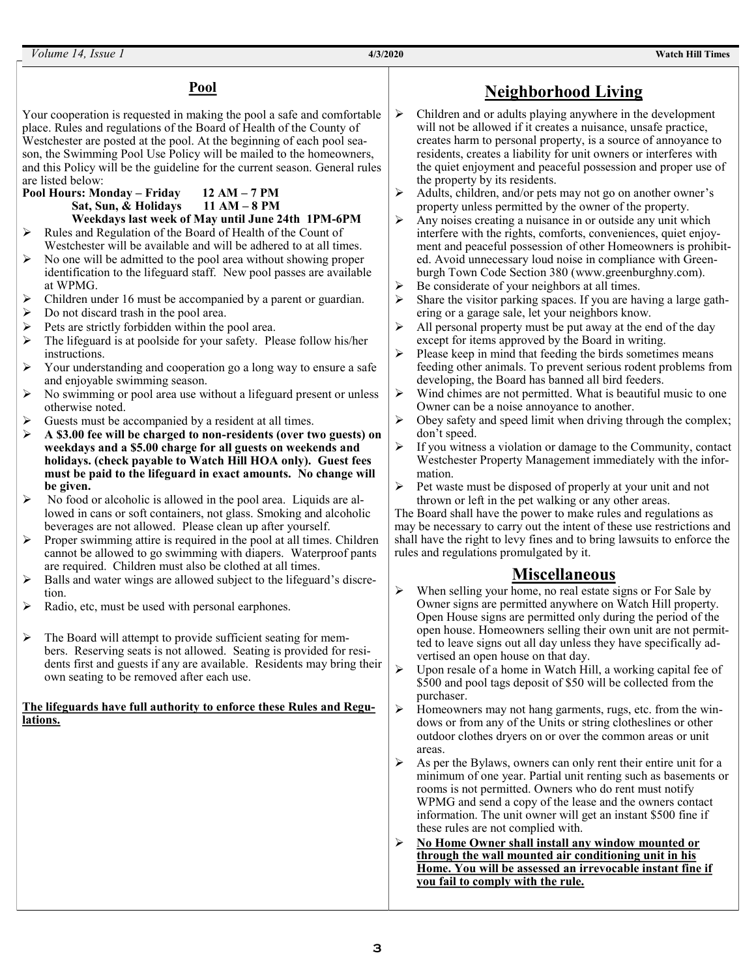*Volume 14, Issue 1* **4/3/2020 Watch Hill Times**

#### **Pool**

Your cooperation is requested in making the pool a safe and comfortable place. Rules and regulations of the Board of Health of the County of Westchester are posted at the pool. At the beginning of each pool season, the Swimming Pool Use Policy will be mailed to the homeowners, and this Policy will be the guideline for the current season. General rules are listed below:

- **Pool Hours: Monday – Friday 12 AM – 7 PM Sat, Sun, & Holidays 11 AM – 8 PM Weekdays last week of May until June 24th 1PM-6PM**
- ➢ Rules and Regulation of the Board of Health of the Count of Westchester will be available and will be adhered to at all times.
- ➢ No one will be admitted to the pool area without showing proper identification to the lifeguard staff. New pool passes are available at WPMG.
- Children under 16 must be accompanied by a parent or guardian.
- ➢ Do not discard trash in the pool area.
- Pets are strictly forbidden within the pool area.
- The lifeguard is at poolside for your safety. Please follow his/her instructions.
- Your understanding and cooperation go a long way to ensure a safe and enjoyable swimming season.
- ➢ No swimming or pool area use without a lifeguard present or unless otherwise noted.
- Guests must be accompanied by a resident at all times.
- ➢ **A \$3.00 fee will be charged to non-residents (over two guests) on weekdays and a \$5.00 charge for all guests on weekends and holidays. (check payable to Watch Hill HOA only). Guest fees must be paid to the lifeguard in exact amounts. No change will be given.**
- $\triangleright$  No food or alcoholic is allowed in the pool area. Liquids are allowed in cans or soft containers, not glass. Smoking and alcoholic beverages are not allowed. Please clean up after yourself.
- ➢ Proper swimming attire is required in the pool at all times. Children cannot be allowed to go swimming with diapers. Waterproof pants are required. Children must also be clothed at all times.
- ➢ Balls and water wings are allowed subject to the lifeguard's discretion.
- ➢ Radio, etc, must be used with personal earphones.
- The Board will attempt to provide sufficient seating for members. Reserving seats is not allowed. Seating is provided for residents first and guests if any are available. Residents may bring their own seating to be removed after each use.

#### **The lifeguards have full authority to enforce these Rules and Regulations.**

## **Neighborhood Living**

- ➢ Children and or adults playing anywhere in the development will not be allowed if it creates a nuisance, unsafe practice, creates harm to personal property, is a source of annoyance to residents, creates a liability for unit owners or interferes with the quiet enjoyment and peaceful possession and proper use of the property by its residents.
- ➢ Adults, children, and/or pets may not go on another owner's property unless permitted by the owner of the property.
- $\triangleright$  Any noises creating a nuisance in or outside any unit which interfere with the rights, comforts, conveniences, quiet enjoyment and peaceful possession of other Homeowners is prohibited. Avoid unnecessary loud noise in compliance with Greenburgh Town Code Section 380 [\(www.greenburghny.com\).](http://www.greenburghny.com)
- Be considerate of your neighbors at all times.
- $\triangleright$  Share the visitor parking spaces. If you are having a large gathering or a garage sale, let your neighbors know.
- $\triangleright$  All personal property must be put away at the end of the day except for items approved by the Board in writing.
- $\triangleright$  Please keep in mind that feeding the birds sometimes means feeding other animals. To prevent serious rodent problems from developing, the Board has banned all bird feeders.
- ➢ Wind chimes are not permitted. What is beautiful music to one Owner can be a noise annoyance to another.
- $\triangleright$  Obey safety and speed limit when driving through the complex; don't speed.
- ➢ If you witness a violation or damage to the Community, contact Westchester Property Management immediately with the information.
- ➢ Pet waste must be disposed of properly at your unit and not thrown or left in the pet walking or any other areas.

The Board shall have the power to make rules and regulations as may be necessary to carry out the intent of these use restrictions and shall have the right to levy fines and to bring lawsuits to enforce the rules and regulations promulgated by it.

### **Miscellaneous**

- ➢ When selling your home, no real estate signs or For Sale by Owner signs are permitted anywhere on Watch Hill property. Open House signs are permitted only during the period of the open house. Homeowners selling their own unit are not permitted to leave signs out all day unless they have specifically advertised an open house on that day.
- ➢ Upon resale of a home in Watch Hill, a working capital fee of \$500 and pool tags deposit of \$50 will be collected from the purchaser.
- ➢ Homeowners may not hang garments, rugs, etc. from the windows or from any of the Units or string clotheslines or other outdoor clothes dryers on or over the common areas or unit areas.
- $\triangleright$  As per the Bylaws, owners can only rent their entire unit for a minimum of one year. Partial unit renting such as basements or rooms is not permitted. Owners who do rent must notify WPMG and send a copy of the lease and the owners contact information. The unit owner will get an instant \$500 fine if these rules are not complied with.
- ➢ **No Home Owner shall install any window mounted or through the wall mounted air conditioning unit in his Home. You will be assessed an irrevocable instant fine if you fail to comply with the rule.**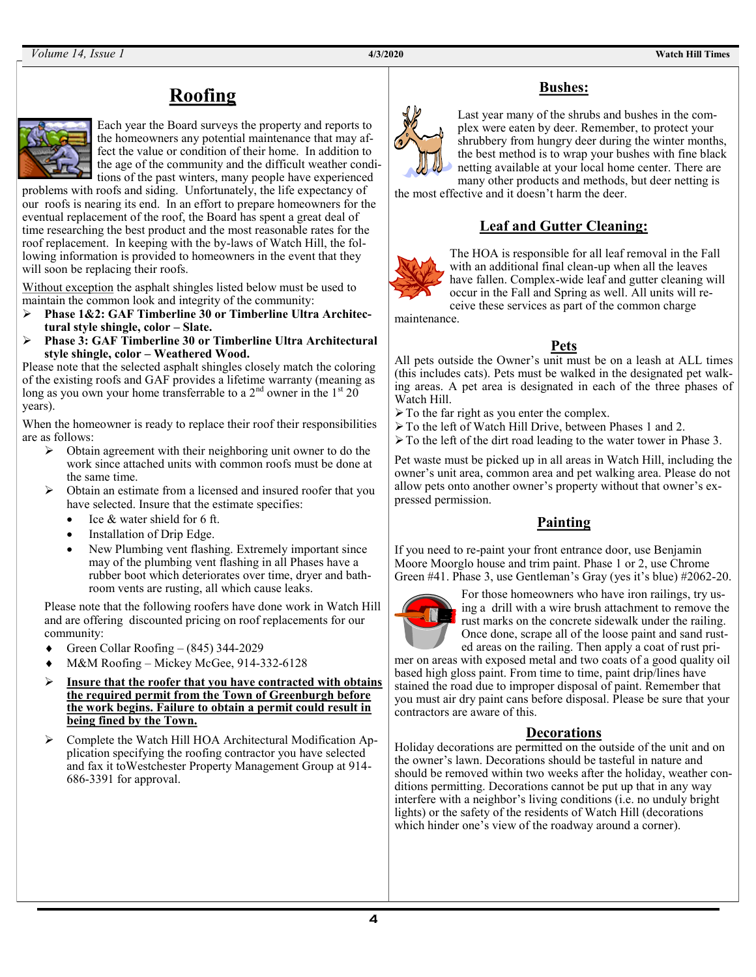## **Roofing**



Each year the Board surveys the property and reports to the homeowners any potential maintenance that may affect the value or condition of their home. In addition to the age of the community and the difficult weather conditions of the past winters, many people have experienced

problems with roofs and siding. Unfortunately, the life expectancy of our roofs is nearing its end. In an effort to prepare homeowners for the eventual replacement of the roof, the Board has spent a great deal of time researching the best product and the most reasonable rates for the roof replacement. In keeping with the by-laws of Watch Hill, the following information is provided to homeowners in the event that they will soon be replacing their roofs.

Without exception the asphalt shingles listed below must be used to maintain the common look and integrity of the community:

- ➢ **Phase 1&2: GAF Timberline 30 or Timberline Ultra Architectural style shingle, color – Slate.**
- ➢ **Phase 3: GAF Timberline 30 or Timberline Ultra Architectural style shingle, color – Weathered Wood.**

Please note that the selected asphalt shingles closely match the coloring of the existing roofs and GAF provides a lifetime warranty (meaning as long as you own your home transferrable to a  $2<sup>nd</sup>$  owner in the  $1<sup>st</sup> 20$ years).

When the homeowner is ready to replace their roof their responsibilities are as follows:

- ➢ Obtain agreement with their neighboring unit owner to do the work since attached units with common roofs must be done at the same time.
- ➢ Obtain an estimate from a licensed and insured roofer that you have selected. Insure that the estimate specifies:
	- Ice & water shield for 6 ft.
	- Installation of Drip Edge.
	- New Plumbing vent flashing. Extremely important since may of the plumbing vent flashing in all Phases have a rubber boot which deteriorates over time, dryer and bathroom vents are rusting, all which cause leaks.

Please note that the following roofers have done work in Watch Hill and are offering discounted pricing on roof replacements for our community:

- Green Collar Roofing (845) 344-2029
- M&M Roofing Mickey McGee, 914-332-6128
- ➢ **Insure that the roofer that you have contracted with obtains the required permit from the Town of Greenburgh before the work begins. Failure to obtain a permit could result in being fined by the Town.**
- ➢ Complete the Watch Hill HOA Architectural Modification Application specifying the roofing contractor you have selected and fax it toWestchester Property Management Group at 914- 686-3391 for approval.



**Bushes:**

Last year many of the shrubs and bushes in the complex were eaten by deer. Remember, to protect your shrubbery from hungry deer during the winter months, the best method is to wrap your bushes with fine black netting available at your local home center. There are many other products and methods, but deer netting is

the most effective and it doesn't harm the deer.

## **Leaf and Gutter Cleaning:**



The HOA is responsible for all leaf removal in the Fall with an additional final clean-up when all the leaves have fallen. Complex-wide leaf and gutter cleaning will occur in the Fall and Spring as well. All units will receive these services as part of the common charge

maintenance.

### **Pets**

All pets outside the Owner's unit must be on a leash at ALL times (this includes cats). Pets must be walked in the designated pet walking areas. A pet area is designated in each of the three phases of Watch Hill.

- ➢To the far right as you enter the complex.
- ➢To the left of Watch Hill Drive, between Phases 1 and 2.
- ➢To the left of the dirt road leading to the water tower in Phase 3.

Pet waste must be picked up in all areas in Watch Hill, including the owner's unit area, common area and pet walking area. Please do not allow pets onto another owner's property without that owner's expressed permission.

### **Painting**

If you need to re-paint your front entrance door, use Benjamin Moore Moorglo house and trim paint. Phase 1 or 2, use Chrome Green #41. Phase 3, use Gentleman's Gray (yes it's blue) #2062-20.



For those homeowners who have iron railings, try using a drill with a wire brush attachment to remove the rust marks on the concrete sidewalk under the railing. Once done, scrape all of the loose paint and sand rusted areas on the railing. Then apply a coat of rust pri-

mer on areas with exposed metal and two coats of a good quality oil based high gloss paint. From time to time, paint drip/lines have stained the road due to improper disposal of paint. Remember that you must air dry paint cans before disposal. Please be sure that your contractors are aware of this.

### **Decorations**

Holiday decorations are permitted on the outside of the unit and on the owner's lawn. Decorations should be tasteful in nature and should be removed within two weeks after the holiday, weather conditions permitting. Decorations cannot be put up that in any way interfere with a neighbor's living conditions (i.e. no unduly bright lights) or the safety of the residents of Watch Hill (decorations which hinder one's view of the roadway around a corner).